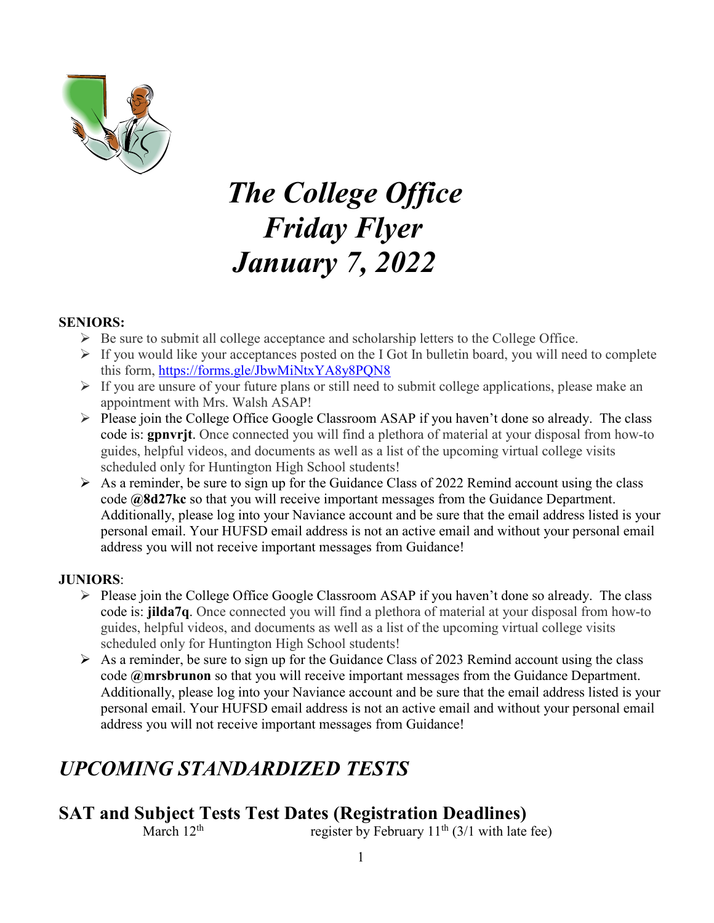

# *The College Office Friday Flyer January 7, 2022*

#### **SENIORS:**

- $\triangleright$  Be sure to submit all college acceptance and scholarship letters to the College Office.
- $\triangleright$  If you would like your acceptances posted on the I Got In bulletin board, you will need to complete this form,<https://forms.gle/JbwMiNtxYA8y8PQN8>
- $\triangleright$  If you are unsure of your future plans or still need to submit college applications, please make an appointment with Mrs. Walsh ASAP!
- $\triangleright$  Please join the College Office Google Classroom ASAP if you haven't done so already. The class code is: **gpnvrjt**. Once connected you will find a plethora of material at your disposal from how-to guides, helpful videos, and documents as well as a list of the upcoming virtual college visits scheduled only for Huntington High School students!
- $\triangleright$  As a reminder, be sure to sign up for the Guidance Class of 2022 Remind account using the class code **@8d27kc** so that you will receive important messages from the Guidance Department. Additionally, please log into your Naviance account and be sure that the email address listed is your personal email. Your HUFSD email address is not an active email and without your personal email address you will not receive important messages from Guidance!

#### **JUNIORS**:

- Please join the College Office Google Classroom ASAP if you haven't done so already. The class code is: **jilda7q**. Once connected you will find a plethora of material at your disposal from how-to guides, helpful videos, and documents as well as a list of the upcoming virtual college visits scheduled only for Huntington High School students!
- $\triangleright$  As a reminder, be sure to sign up for the Guidance Class of 2023 Remind account using the class code **@mrsbrunon** so that you will receive important messages from the Guidance Department. Additionally, please log into your Naviance account and be sure that the email address listed is your personal email. Your HUFSD email address is not an active email and without your personal email address you will not receive important messages from Guidance!

# *UPCOMING STANDARDIZED TESTS*

#### **SAT and Subject Tests Test Dates (Registration Deadlines)**<br>March 12<sup>th</sup> (3/1 with late register by February 11<sup>th</sup> (3/1 with late fee)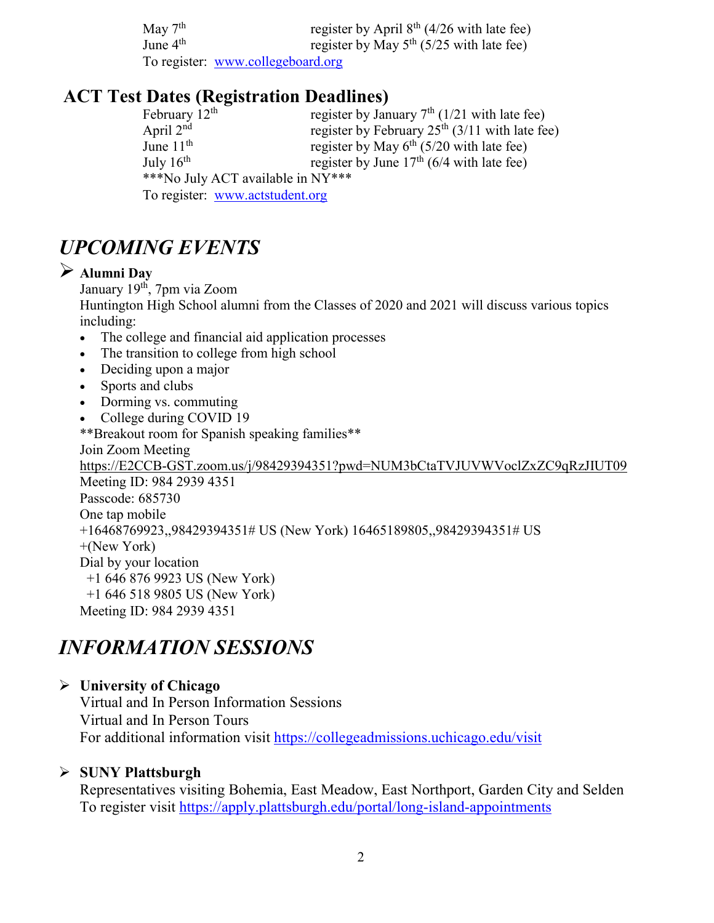May  $7^{\text{th}}$  register by April  $8^{\text{th}}$  (4/26 with late fee)<br>June  $4^{\text{th}}$  register by May  $5^{\text{th}}$  (5/25 with late fee) register by May 5<sup>th</sup> (5/25 with late fee) To register: [www.collegeboard.org](http://www.collegeboard.org/)

# **ACT Test Dates (Registration Deadlines)**

| February $12th$                   | register by January $7th$ (1/21 with late fee)   |  |
|-----------------------------------|--------------------------------------------------|--|
| April 2 <sup>nd</sup>             | register by February $25th$ (3/11 with late fee) |  |
| June $11th$                       | register by May $6^{th}$ (5/20 with late fee)    |  |
| July $16^{th}$                    | register by June $17th$ (6/4 with late fee)      |  |
| ***No July ACT available in NY*** |                                                  |  |
| To register: www.actstudent.org   |                                                  |  |

# *UPCOMING EVENTS*

#### **Alumni Day**

January 19<sup>th</sup>, 7pm via Zoom

Huntington High School alumni from the Classes of 2020 and 2021 will discuss various topics including:

- The college and financial aid application processes
- The transition to college from high school
- Deciding upon a major
- Sports and clubs
- Dorming vs. commuting
- College during COVID 19

\*\*Breakout room for Spanish speaking families\*\*

Join Zoom Meeting

[https://E2CCB-GST.zoom.us/j/98429394351?pwd=NUM3bCtaTVJUVWVoclZxZC9qRzJIUT09](https://e2ccb-gst.zoom.us/j/98429394351?pwd=NUM3bCtaTVJUVWVoclZxZC9qRzJIUT09) Meeting ID: 984 2939 4351 Passcode: 685730

One tap mobile

+16468769923,,98429394351# US (New York) 16465189805,,98429394351# US

+(New York)

Dial by your location

+1 646 876 9923 US (New York)

+1 646 518 9805 US (New York)

Meeting ID: 984 2939 4351

# *INFORMATION SESSIONS*

# **University of Chicago**

Virtual and In Person Information Sessions Virtual and In Person Tours For additional information visit<https://collegeadmissions.uchicago.edu/visit>

# **SUNY Plattsburgh**

Representatives visiting Bohemia, East Meadow, East Northport, Garden City and Selden To register visit<https://apply.plattsburgh.edu/portal/long-island-appointments>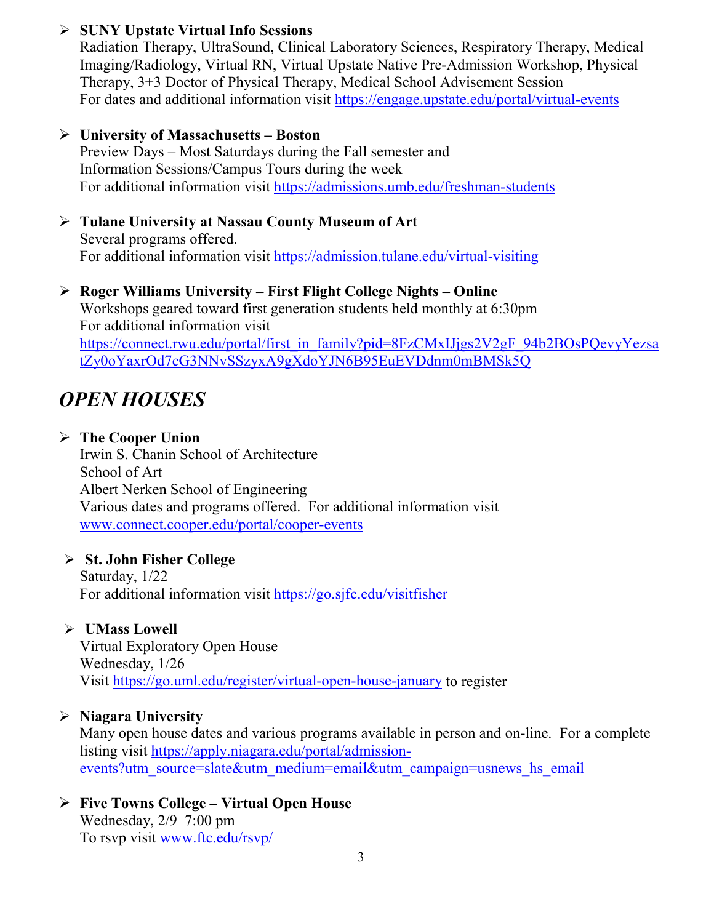#### **SUNY Upstate Virtual Info Sessions**

Radiation Therapy, UltraSound, Clinical Laboratory Sciences, Respiratory Therapy, Medical Imaging/Radiology, Virtual RN, Virtual Upstate Native Pre-Admission Workshop, Physical Therapy, 3+3 Doctor of Physical Therapy, Medical School Advisement Session For dates and additional information visit<https://engage.upstate.edu/portal/virtual-events>

#### **University of Massachusetts – Boston**

Preview Days – Most Saturdays during the Fall semester and Information Sessions/Campus Tours during the week For additional information visit<https://admissions.umb.edu/freshman-students>

#### **Tulane University at Nassau County Museum of Art** Several programs offered. For additional information visit<https://admission.tulane.edu/virtual-visiting>

#### **Roger Williams University – First Flight College Nights – Online**

Workshops geared toward first generation students held monthly at 6:30pm For additional information visit [https://connect.rwu.edu/portal/first\\_in\\_family?pid=8FzCMxIJjgs2V2gF\\_94b2BOsPQevyYezsa](https://connect.rwu.edu/portal/first_in_family?pid=8FzCMxIJjgs2V2gF_94b2BOsPQevyYezsatZy0oYaxrOd7cG3NNvSSzyxA9gXdoYJN6B95EuEVDdnm0mBMSk5Q) [tZy0oYaxrOd7cG3NNvSSzyxA9gXdoYJN6B95EuEVDdnm0mBMSk5Q](https://connect.rwu.edu/portal/first_in_family?pid=8FzCMxIJjgs2V2gF_94b2BOsPQevyYezsatZy0oYaxrOd7cG3NNvSSzyxA9gXdoYJN6B95EuEVDdnm0mBMSk5Q)

# *OPEN HOUSES*

#### **The Cooper Union**

Irwin S. Chanin School of Architecture School of Art Albert Nerken School of Engineering Various dates and programs offered. For additional information visit [www.connect.cooper.edu/portal/cooper-events](http://www.connect.cooper.edu/portal/cooper-events)

# **St. John Fisher College**

Saturday, 1/22 For additional information visit<https://go.sjfc.edu/visitfisher>

# **UMass Lowell**

Virtual Exploratory Open House Wednesday, 1/26 Visit<https://go.uml.edu/register/virtual-open-house-january> to register

# **Niagara University**

Many open house dates and various programs available in person and on-line. For a complete listing visit [https://apply.niagara.edu/portal/admission](https://apply.niagara.edu/portal/admission-events?utm_source=slate&utm_medium=email&utm_campaign=usnews_hs_email)[events?utm\\_source=slate&utm\\_medium=email&utm\\_campaign=usnews\\_hs\\_email](https://apply.niagara.edu/portal/admission-events?utm_source=slate&utm_medium=email&utm_campaign=usnews_hs_email)

#### **Five Towns College – Virtual Open House** Wednesday, 2/9 7:00 pm To rsvp visit [www.ftc.edu/rsvp/](http://www.ftc.edu/rsvp/)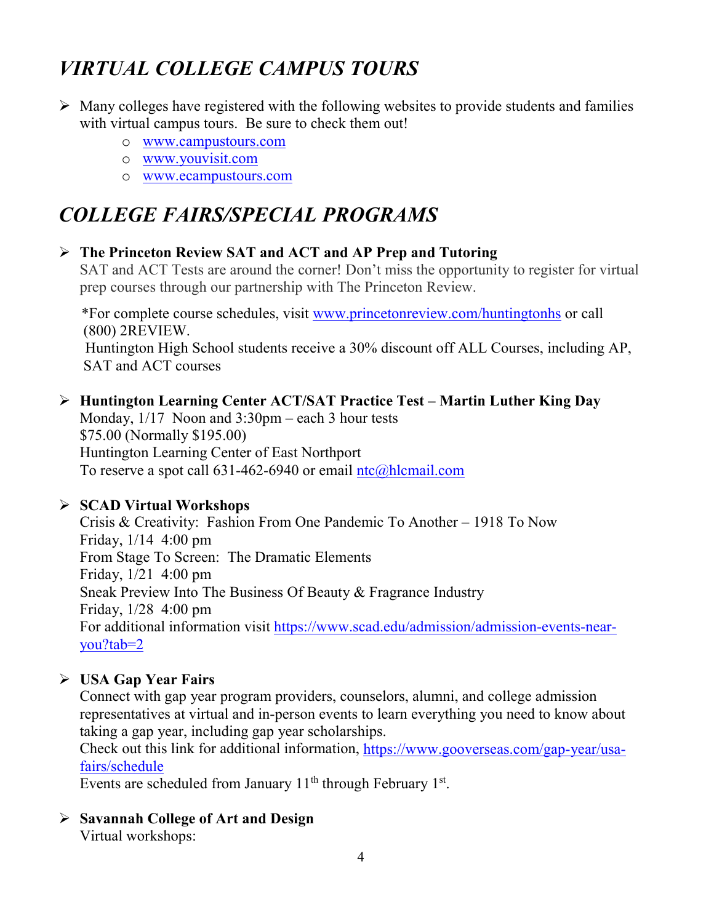# *VIRTUAL COLLEGE CAMPUS TOURS*

- $\triangleright$  Many colleges have registered with the following websites to provide students and families with virtual campus tours. Be sure to check them out!
	- o [www.campustours.com](http://www.campustours.com/)
	- o [www.youvisit.com](http://www.youvisit.com/)
	- o [www.ecampustours.com](http://www.ecampustours.com/)

# *COLLEGE FAIRS/SPECIAL PROGRAMS*

# **The Princeton Review SAT and ACT and AP Prep and Tutoring**

SAT and ACT Tests are around the corner! Don't miss the opportunity to register for virtual prep courses through our partnership with The Princeton Review.

 \*For complete course schedules, visit [www.princetonreview.com/huntingtonhs](http://www.princetonreview.com/huntingtonhs) or call (800) 2REVIEW. Huntington High School students receive a 30% discount off ALL Courses, including AP, SAT and ACT courses

# **Huntington Learning Center ACT/SAT Practice Test – Martin Luther King Day**

Monday, 1/17 Noon and 3:30pm – each 3 hour tests \$75.00 (Normally \$195.00) Huntington Learning Center of East Northport To reserve a spot call 631-462-6940 or email [ntc@hlcmail.com](mailto:ntc@hlcmail.com)

# **SCAD Virtual Workshops**

Crisis & Creativity: Fashion From One Pandemic To Another – 1918 To Now Friday, 1/14 4:00 pm From Stage To Screen: The Dramatic Elements Friday, 1/21 4:00 pm Sneak Preview Into The Business Of Beauty & Fragrance Industry Friday, 1/28 4:00 pm For additional information visit [https://www.scad.edu/admission/admission-events-near](https://www.scad.edu/admission/admission-events-near-you?tab=2)[you?tab=2](https://www.scad.edu/admission/admission-events-near-you?tab=2)

# **USA Gap Year Fairs**

Connect with gap year program providers, counselors, alumni, and college admission representatives at virtual and in-person events to learn everything you need to know about taking a gap year, including gap year scholarships.

Check out this link for additional information, [https://www.gooverseas.com/gap-year/usa](https://www.gooverseas.com/gap-year/usa-fairs/schedule)[fairs/schedule](https://www.gooverseas.com/gap-year/usa-fairs/schedule)

Events are scheduled from January  $11<sup>th</sup>$  through February  $1<sup>st</sup>$ .

**Savannah College of Art and Design**

Virtual workshops: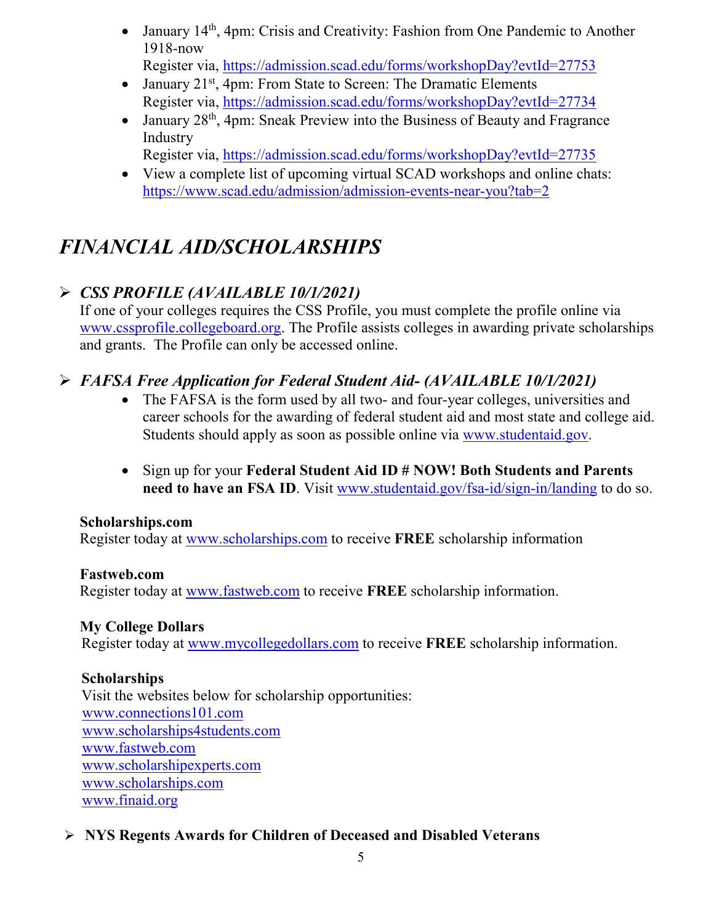- January 14<sup>th</sup>, 4pm: Crisis and Creativity: Fashion from One Pandemic to Another 1918-now Register via,<https://admission.scad.edu/forms/workshopDay?evtId=27753>
- January 21<sup>st</sup>, 4pm: From State to Screen: The Dramatic Elements Register via,<https://admission.scad.edu/forms/workshopDay?evtId=27734>
- January  $28<sup>th</sup>$ , 4pm: Sneak Preview into the Business of Beauty and Fragrance Industry
	- Register via,<https://admission.scad.edu/forms/workshopDay?evtId=27735>
- View a complete list of upcoming virtual SCAD workshops and online chats: <https://www.scad.edu/admission/admission-events-near-you?tab=2>

# *FINANCIAL AID/SCHOLARSHIPS*

# *CSS PROFILE (AVAILABLE 10/1/2021)*

If one of your colleges requires the CSS Profile, you must complete the profile online via [www.cssprofile.collegeboard.org.](http://www.cssprofile.collegeboard.org/) The Profile assists colleges in awarding private scholarships and grants. The Profile can only be accessed online.

# *FAFSA Free Application for Federal Student Aid- (AVAILABLE 10/1/2021)*

- The FAFSA is the form used by all two- and four-year colleges, universities and career schools for the awarding of [federal student aid](http://studentaid.ed.gov/students/publications/student_guide/2010-2011/english/typesofFSA_grants.htm) and most state and college aid. Students should apply as soon as possible online via [www.studentaid.gov.](http://www.studentaid.gov/)
- Sign up for your **Federal Student Aid ID # NOW! Both Students and Parents need to have an FSA ID**. Visit [www.studentaid.gov/fsa-id/sign-in/landing](http://www.studentaid.gov/fsa-id/sign-in/landing) to do so.

# **Scholarships.com**

Register today at [www.scholarships.com](http://www.scholarships.com/) to receive **FREE** scholarship information

# **Fastweb.com**

Register today at [www.fastweb.com](http://www.fastweb.com/) to receive **FREE** scholarship information.

# **My College Dollars**

Register today at [www.mycollegedollars.com](http://www.mycollegedollars.com/) to receive **FREE** scholarship information.

# **Scholarships**

 Visit the websites below for scholarship opportunities: [www.connections101.com](http://www.connections101.com/) [www.scholarships4students.com](http://www.scholarships4students.com/) [www.fastweb.com](http://www.fastweb.com/) [www.scholarshipexperts.com](http://www.scholarshipexperts.com/) [www.scholarships.com](http://www.scholarships.com/) [www.finaid.org](http://www.finaid.org/)

# **NYS Regents Awards for Children of Deceased and Disabled Veterans**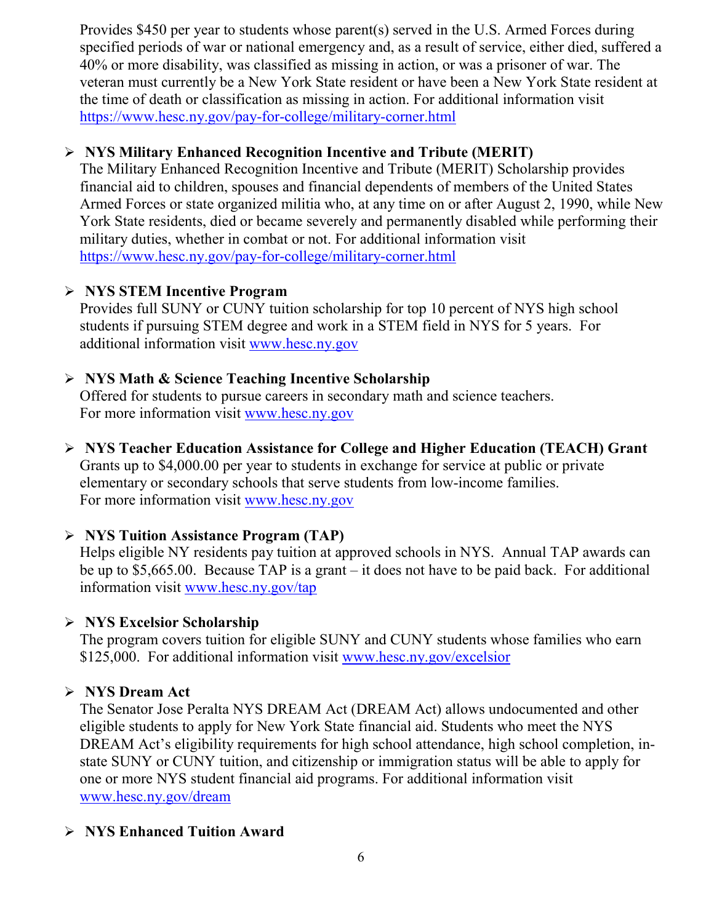Provides \$450 per year to students whose parent(s) served in the U.S. Armed Forces during specified periods of war or national emergency and, as a result of service, either died, suffered a 40% or more disability, was classified as missing in action, or was a prisoner of war. The veteran must currently be a New York State resident or have been a New York State resident at the time of death or classification as missing in action. For additional information visit <https://www.hesc.ny.gov/pay-for-college/military-corner.html>

# **NYS Military Enhanced Recognition Incentive and Tribute (MERIT)**

The Military Enhanced Recognition Incentive and Tribute (MERIT) Scholarship provides financial aid to children, spouses and financial dependents of members of the United States Armed Forces or state organized militia who, at any time on or after August 2, 1990, while New York State residents, died or became severely and permanently disabled while performing their military duties, whether in combat or not. For additional information visit <https://www.hesc.ny.gov/pay-for-college/military-corner.html>

# **NYS STEM Incentive Program**

Provides full SUNY or CUNY tuition scholarship for top 10 percent of NYS high school students if pursuing STEM degree and work in a STEM field in NYS for 5 years. For additional information visit [www.hesc.ny.gov](http://www.hesc.ny.gov/)

# **NYS Math & Science Teaching Incentive Scholarship**

Offered for students to pursue careers in secondary math and science teachers. For more information visit [www.hesc.ny.gov](http://www.hesc.ny.gov/)

 **NYS Teacher Education Assistance for College and Higher Education (TEACH) Grant** Grants up to \$4,000.00 per year to students in exchange for service at public or private elementary or secondary schools that serve students from low-income families. For more information visit [www.hesc.ny.gov](http://www.hesc.ny.gov/) 

# **NYS Tuition Assistance Program (TAP)**

Helps eligible NY residents pay tuition at approved schools in NYS. Annual TAP awards can be up to \$5,665.00. Because TAP is a grant – it does not have to be paid back. For additional information visit [www.hesc.ny.gov/tap](http://www.hesc.ny.gov/tap)

# **NYS Excelsior Scholarship**

The program covers tuition for eligible SUNY and CUNY students whose families who earn \$125,000. For additional information visit [www.hesc.ny.gov/](http://www.hesc.ny.gov/)excelsior

# **NYS Dream Act**

The Senator Jose Peralta NYS DREAM Act (DREAM Act) allows undocumented and other eligible students to apply for New York State financial aid. Students who meet the NYS DREAM Act's eligibility requirements for high school attendance, high school completion, instate SUNY or CUNY tuition, and citizenship or immigration status will be able to apply for one or more NYS student financial aid programs. For additional information visit [www.hesc.ny.gov/dream](http://www.hesc.ny.gov/dream)

# **NYS Enhanced Tuition Award**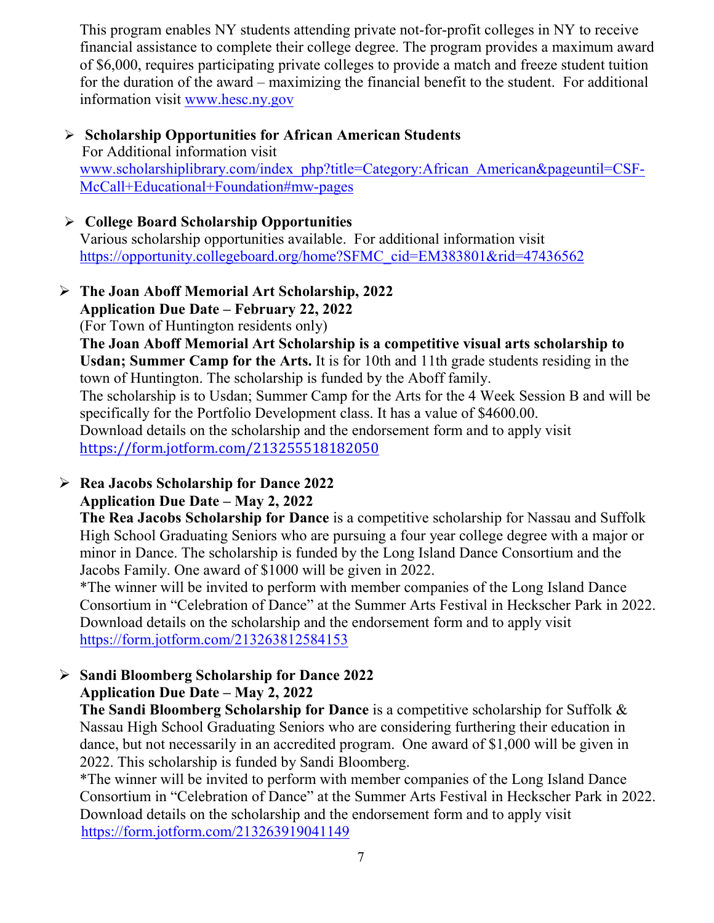This program enables NY students attending private not-for-profit colleges in NY to receive financial assistance to complete their college degree. The program provides a maximum award of \$6,000, requires participating private colleges to provide a match and freeze student tuition for the duration of the award – maximizing the financial benefit to the student. For additional information visit [www.hesc.ny.gov](http://www.hesc.ny.gov/)

#### **Scholarship Opportunities for African American Students** For Additional information visit [www.scholarshiplibrary.com/index\\_php?title=Category:African\\_American&pageuntil=CSF-](http://www.scholarshiplibrary.com/index_php?title=Category:African_American&pageuntil=CSF-%20%20%20McCall+Educational+Foundation#mw-pages)[McCall+Educational+Foundation#mw-pages](http://www.scholarshiplibrary.com/index_php?title=Category:African_American&pageuntil=CSF-%20%20%20McCall+Educational+Foundation#mw-pages)

# **College Board Scholarship Opportunities**

Various scholarship opportunities available. For additional information visit [https://opportunity.collegeboard.org/home?SFMC\\_cid=EM383801&rid=47436562](https://opportunity.collegeboard.org/home?SFMC_cid=EM383801&rid=47436562)

#### **The Joan Aboff Memorial Art Scholarship, 2022 Application Due Date – February 22, 2022**

(For Town of Huntington residents only)

**The Joan Aboff Memorial Art Scholarship is a competitive visual arts scholarship to Usdan; Summer Camp for the Arts.** It is for 10th and 11th grade students residing in the town of Huntington. The scholarship is funded by the Aboff family.

The scholarship is to Usdan; Summer Camp for the Arts for the 4 Week Session B and will be specifically for the Portfolio Development class. It has a value of \$4600.00.

Download details on the scholarship and the endorsement form and to apply visit <https://form.jotform.com/213255518182050>

#### **Rea Jacobs Scholarship for Dance 2022 Application Due Date – May 2, 2022**

**The Rea Jacobs Scholarship for Dance** is a competitive scholarship for Nassau and Suffolk High School Graduating Seniors who are pursuing a four year college degree with a major or minor in Dance. The scholarship is funded by the Long Island Dance Consortium and the Jacobs Family. One award of \$1000 will be given in 2022.

\*The winner will be invited to perform with member companies of the Long Island Dance Consortium in "Celebration of Dance" at the Summer Arts Festival in Heckscher Park in 2022. Download details on the scholarship and the endorsement form and to apply visit <https://form.jotform.com/213263812584153>

#### **Sandi Bloomberg Scholarship for Dance 2022 Application Due Date – May 2, 2022**

**The Sandi Bloomberg Scholarship for Dance** is a competitive scholarship for Suffolk & Nassau High School Graduating Seniors who are considering furthering their education in dance, but not necessarily in an accredited program. One award of \$1,000 will be given in 2022. This scholarship is funded by Sandi Bloomberg.

\*The winner will be invited to perform with member companies of the Long Island Dance Consortium in "Celebration of Dance" at the Summer Arts Festival in Heckscher Park in 2022. Download details on the scholarship and the endorsement form and to apply visit <https://form.jotform.com/213263919041149>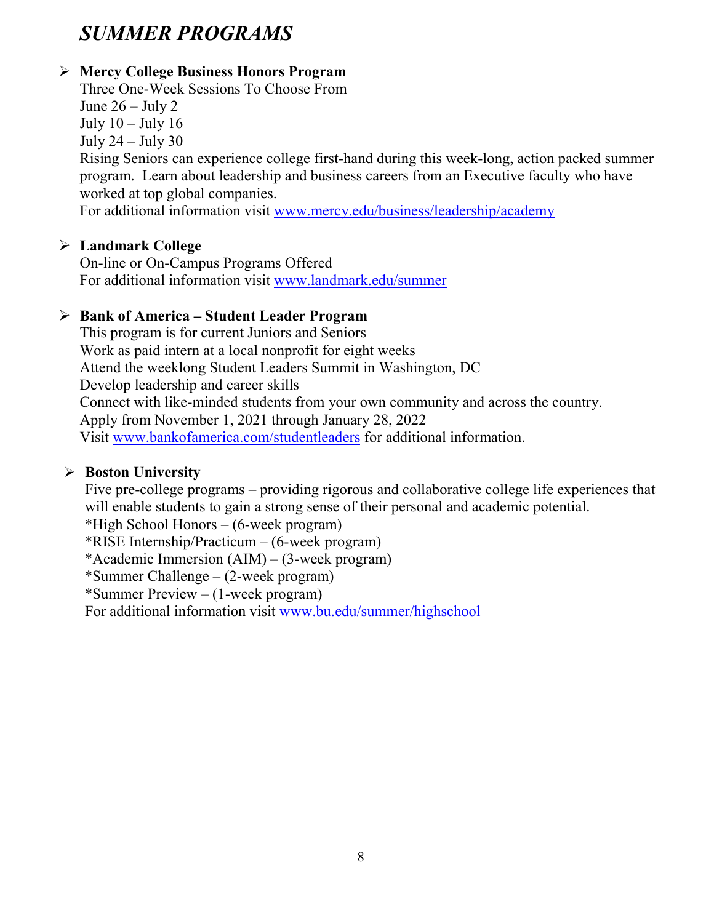# *SUMMER PROGRAMS*

# **Mercy College Business Honors Program**

Three One-Week Sessions To Choose From June  $26 -$  July 2 July  $10 -$ July  $16$ July 24 – July 30

Rising Seniors can experience college first-hand during this week-long, action packed summer program. Learn about leadership and business careers from an Executive faculty who have worked at top global companies.

For additional information visit [www.mercy.edu/business/leadership/academy](http://www.mercy.edu/business/leadership/academy)

# **Landmark College**

On-line or On-Campus Programs Offered For additional information visit [www.landmark.edu/summer](http://www.landmark.edu/summer)

# **Bank of America – Student Leader Program**

This program is for current Juniors and Seniors Work as paid intern at a local nonprofit for eight weeks Attend the weeklong Student Leaders Summit in Washington, DC Develop leadership and career skills Connect with like-minded students from your own community and across the country. Apply from November 1, 2021 through January 28, 2022 Visit [www.bankofamerica.com/studentleaders](http://www.bankofamerica.com/studentleaders) for additional information.

# **Boston University**

Five pre-college programs – providing rigorous and collaborative college life experiences that will enable students to gain a strong sense of their personal and academic potential. \*High School Honors – (6-week program) \*RISE Internship/Practicum – (6-week program) \*Academic Immersion (AIM) – (3-week program) \*Summer Challenge – (2-week program) \*Summer Preview – (1-week program) For additional information visit [www.bu.edu/summer/highschool](http://www.bu.edu/summer/highschool)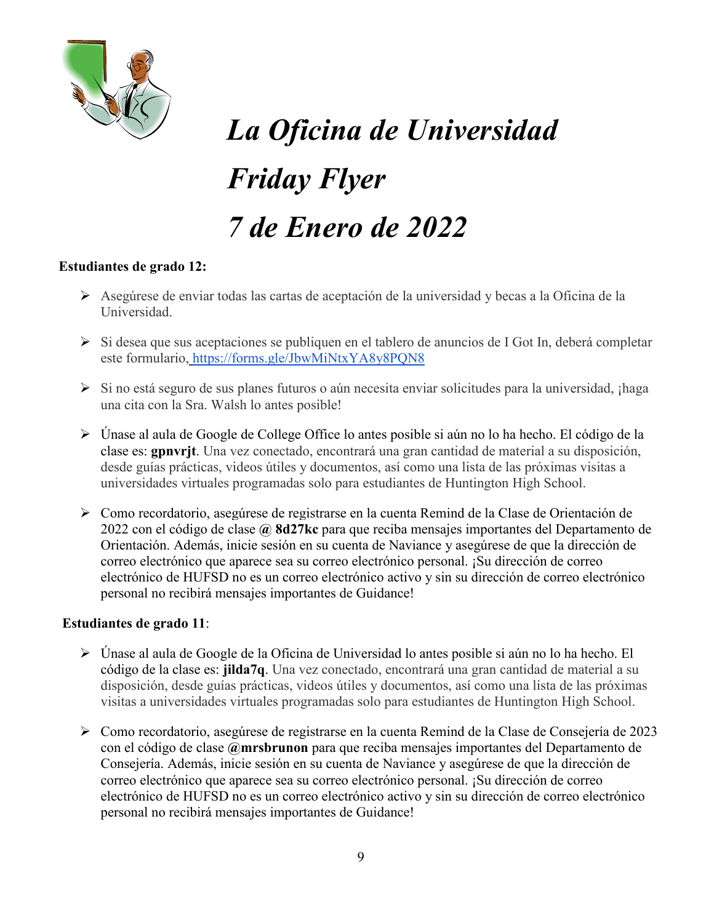

# *La Oficina de Universidad Friday Flyer 7 de Enero de 2022*

#### **Estudiantes de grado 12:**

- Asegúrese de enviar todas las cartas de aceptación de la universidad y becas a la Oficina de la Universidad.
- $\triangleright$  Si desea que sus aceptaciones se publiquen en el tablero de anuncios de I Got In, deberá completar este formulario, <https://forms.gle/JbwMiNtxYA8y8PQN8>
- ≻ Si no está seguro de sus planes futuros o aún necesita enviar solicitudes para la universidad, ¡haga una cita con la Sra. Walsh lo antes posible!
- Únase al aula de Google de College Office lo antes posible si aún no lo ha hecho. El código de la clase es: **gpnvrjt**. Una vez conectado, encontrará una gran cantidad de material a su disposición, desde guías prácticas, videos útiles y documentos, así como una lista de las próximas visitas a universidades virtuales programadas solo para estudiantes de Huntington High School.
- Como recordatorio, asegúrese de registrarse en la cuenta Remind de la Clase de Orientación de 2022 con el código de clase **@ 8d27kc** para que reciba mensajes importantes del Departamento de Orientación. Además, inicie sesión en su cuenta de Naviance y asegúrese de que la dirección de correo electrónico que aparece sea su correo electrónico personal. ¡Su dirección de correo electrónico de HUFSD no es un correo electrónico activo y sin su dirección de correo electrónico personal no recibirá mensajes importantes de Guidance!

#### **Estudiantes de grado 11**:

- Únase al aula de Google de la Oficina de Universidad lo antes posible si aún no lo ha hecho. El código de la clase es: **jilda7q**. Una vez conectado, encontrará una gran cantidad de material a su disposición, desde guías prácticas, videos útiles y documentos, así como una lista de las próximas visitas a universidades virtuales programadas solo para estudiantes de Huntington High School.
- Como recordatorio, asegúrese de registrarse en la cuenta Remind de la Clase de Consejería de 2023 con el código de clase **@mrsbrunon** para que reciba mensajes importantes del Departamento de Consejería. Además, inicie sesión en su cuenta de Naviance y asegúrese de que la dirección de correo electrónico que aparece sea su correo electrónico personal. ¡Su dirección de correo electrónico de HUFSD no es un correo electrónico activo y sin su dirección de correo electrónico personal no recibirá mensajes importantes de Guidance!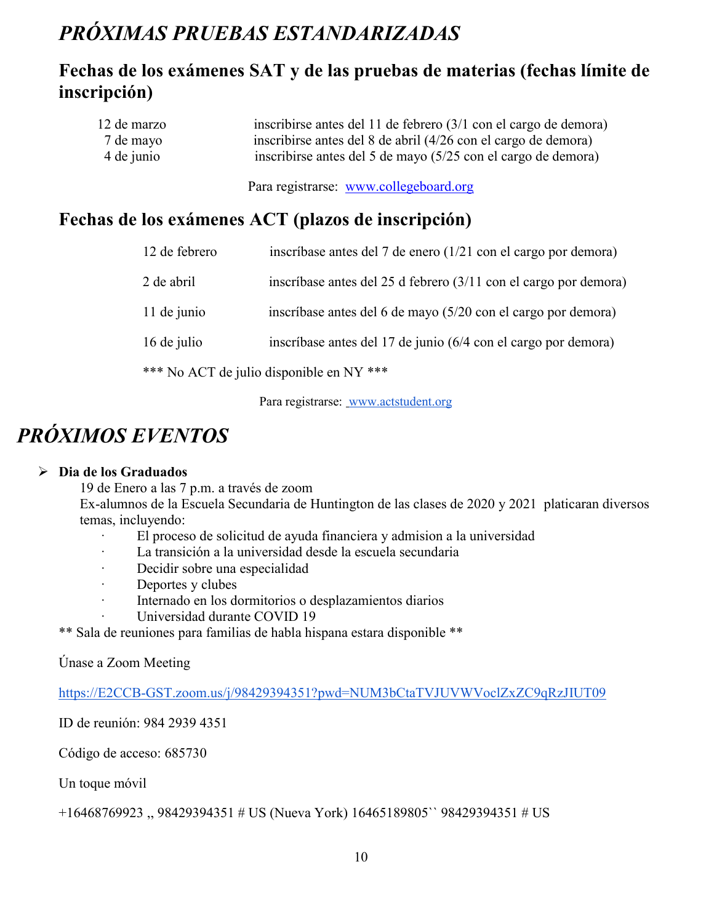# *PRÓXIMAS PRUEBAS ESTANDARIZADAS*

# **Fechas de los exámenes SAT y de las pruebas de materias (fechas límite de inscripción)**

| 12 de marzo | inscribirse antes del 11 de febrero (3/1 con el cargo de demora) |
|-------------|------------------------------------------------------------------|
| 7 de mayo   | inscribirse antes del 8 de abril (4/26 con el cargo de demora)   |
| 4 de junio  | inscribirse antes del 5 de mayo (5/25 con el cargo de demora)    |

Para registrarse: [www.collegeboard.org](http://www.collegeboard.org/)

# **Fechas de los exámenes ACT (plazos de inscripción)**

| 12 de febrero | inscríbase antes del 7 de enero $(1/21 \text{ con el cargo por demora})$   |
|---------------|----------------------------------------------------------------------------|
| 2 de abril    | inscríbase antes del 25 d febrero $(3/11 \text{ con el cargo por demora})$ |
| 11 de junio   | inscríbase antes del 6 de mayo (5/20 con el cargo por demora)              |
| 16 de julio   | inscríbase antes del 17 de junio (6/4 con el cargo por demora)             |
|               | *** No ACT de julio disponible en NY ***                                   |

Para registrarse: [www.actstudent.org](http://www.actstudent.org/)

# *PRÓXIMOS EVENTOS*

#### **Dia de los Graduados**

19 de Enero a las 7 p.m. a través de zoom

Ex-alumnos de la Escuela Secundaria de Huntington de las clases de 2020 y 2021 platicaran diversos temas, incluyendo:

- · El proceso de solicitud de ayuda financiera y admision a la universidad
- La transición a la universidad desde la escuela secundaria
- · Decidir sobre una especialidad
- · Deportes y clubes
- · Internado en los dormitorios o desplazamientos diarios
	- Universidad durante COVID 19

\*\* Sala de reuniones para familias de habla hispana estara disponible \*\*

Únase a Zoom Meeting

[https://E2CCB-GST.zoom.us/j/98429394351?pwd=NUM3bCtaTVJUVWVoclZxZC9qRzJIUT09](https://e2ccb-gst.zoom.us/j/98429394351?pwd=NUM3bCtaTVJUVWVoclZxZC9qRzJIUT09)

ID de reunión: 984 2939 4351

Código de acceso: 685730

Un toque móvil

+16468769923 ,, 98429394351 # US (Nueva York) 16465189805`` 98429394351 # US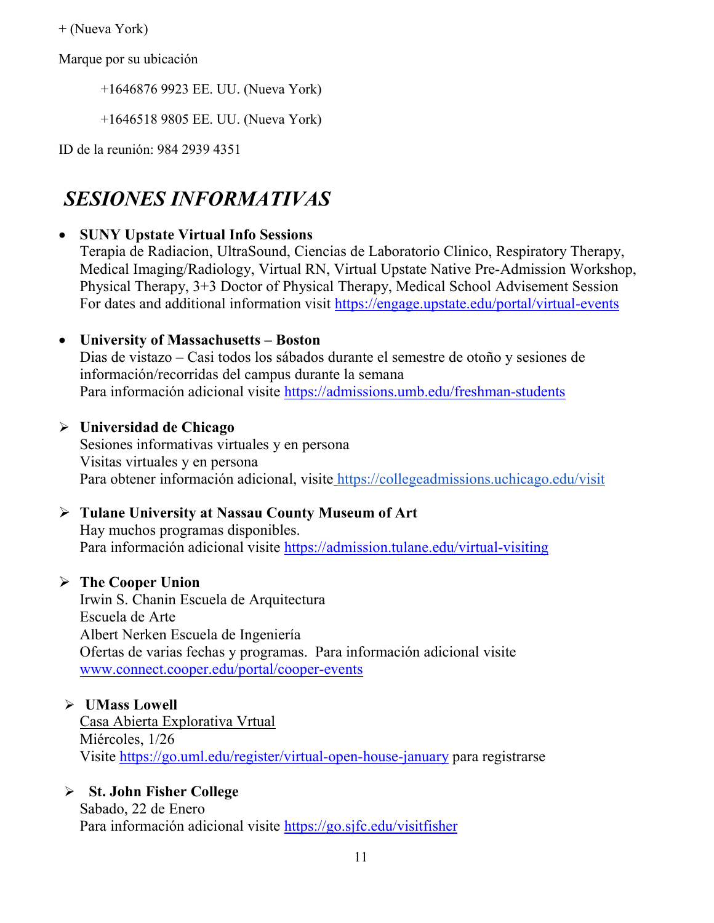+ (Nueva York)

Marque por su ubicación

+1646876 9923 EE. UU. (Nueva York)

+1646518 9805 EE. UU. (Nueva York)

ID de la reunión: 984 2939 4351

# *SESIONES INFORMATIVAS*

#### • **SUNY Upstate Virtual Info Sessions**

Terapia de Radiacion, UltraSound, Ciencias de Laboratorio Clinico, Respiratory Therapy, Medical Imaging/Radiology, Virtual RN, Virtual Upstate Native Pre-Admission Workshop, Physical Therapy, 3+3 Doctor of Physical Therapy, Medical School Advisement Session For dates and additional information visit<https://engage.upstate.edu/portal/virtual-events>

#### • **University of Massachusetts – Boston**

Dias de vistazo – Casi todos los sábados durante el semestre de otoño y sesiones de información/recorridas del campus durante la semana Para información adicional visite<https://admissions.umb.edu/freshman-students>

#### **Universidad de Chicago**

Sesiones informativas virtuales y en persona Visitas virtuales y en persona Para obtener información adicional, visite <https://collegeadmissions.uchicago.edu/visit>

# **Tulane University at Nassau County Museum of Art**

Hay muchos programas disponibles. Para información adicional visite <https://admission.tulane.edu/virtual-visiting>

# **The Cooper Union**

Irwin S. Chanin Escuela de Arquitectura Escuela de Arte Albert Nerken Escuela de Ingeniería Ofertas de varias fechas y programas. Para información adicional visite [www.connect.cooper.edu/portal/cooper-events](http://www.connect.cooper.edu/portal/cooper-events)

#### **UMass Lowell**

Casa Abierta Explorativa Vrtual Miércoles, 1/26 Visite<https://go.uml.edu/register/virtual-open-house-january> para registrarse

# **St. John Fisher College**

Sabado, 22 de Enero Para información adicional visite<https://go.sjfc.edu/visitfisher>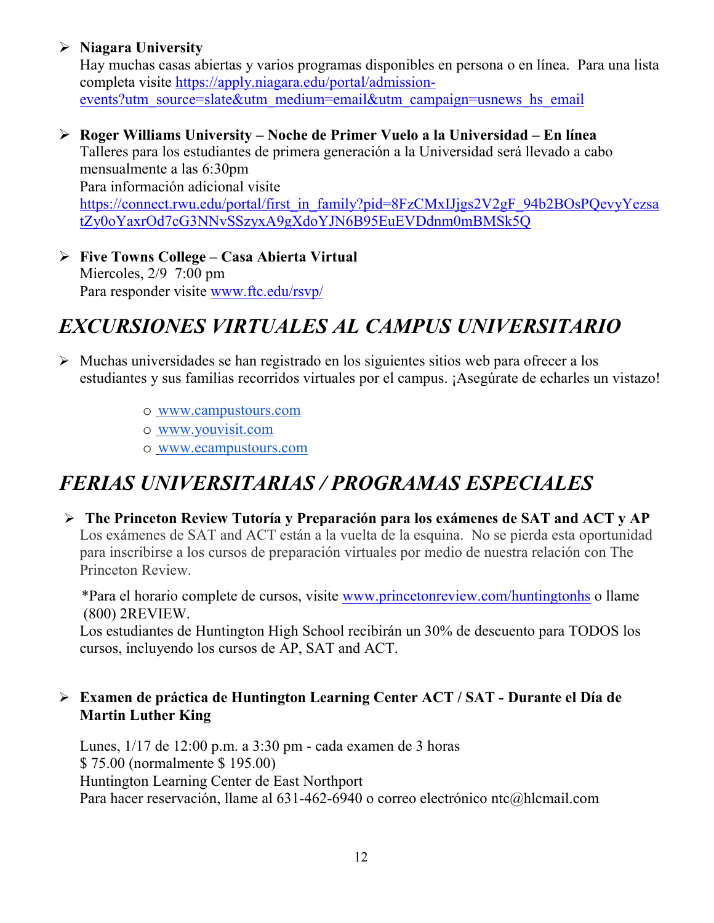# **Niagara University**

Hay muchas casas abiertas y varios programas disponibles en persona o en línea. Para una lista completa visite [https://apply.niagara.edu/portal/admission](https://apply.niagara.edu/portal/admission-events?utm_source=slate&utm_medium=email&utm_campaign=usnews_hs_email)[events?utm\\_source=slate&utm\\_medium=email&utm\\_campaign=usnews\\_hs\\_email](https://apply.niagara.edu/portal/admission-events?utm_source=slate&utm_medium=email&utm_campaign=usnews_hs_email)

 **Roger Williams University – Noche de Primer Vuelo a la Universidad – En línea** Talleres para los estudiantes de primera generación a la Universidad será llevado a cabo mensualmente a las 6:30pm Para información adicional visite [https://connect.rwu.edu/portal/first\\_in\\_family?pid=8FzCMxIJjgs2V2gF\\_94b2BOsPQevyYezsa](https://connect.rwu.edu/portal/first_in_family?pid=8FzCMxIJjgs2V2gF_94b2BOsPQevyYezsatZy0oYaxrOd7cG3NNvSSzyxA9gXdoYJN6B95EuEVDdnm0mBMSk5Q)

[tZy0oYaxrOd7cG3NNvSSzyxA9gXdoYJN6B95EuEVDdnm0mBMSk5Q](https://connect.rwu.edu/portal/first_in_family?pid=8FzCMxIJjgs2V2gF_94b2BOsPQevyYezsatZy0oYaxrOd7cG3NNvSSzyxA9gXdoYJN6B95EuEVDdnm0mBMSk5Q)

 **Five Towns College – Casa Abierta Virtual** Miercoles, 2/9 7:00 pm Para responder visite [www.ftc.edu/rsvp/](http://www.ftc.edu/rsvp/)

# *EXCURSIONES VIRTUALES AL CAMPUS UNIVERSITARIO*

- $\triangleright$  Muchas universidades se han registrado en los siguientes sitios web para ofrecer a los estudiantes y sus familias recorridos virtuales por el campus. ¡Asegúrate de echarles un vistazo!
	- o [www.campustours.com](http://www.campustours.com/)
	- o [www.youvisit.com](http://www.youvisit.com/)
	- o [www.ecampustours.com](http://www.ecampustours.com/)

# *FERIAS UNIVERSITARIAS / PROGRAMAS ESPECIALES*

 **The Princeton Review Tutoría y Preparación para los exámenes de SAT and ACT y AP**  Los exámenes de SAT and ACT están a la vuelta de la esquina. No se pierda esta oportunidad para inscribirse a los cursos de preparación virtuales por medio de nuestra relación con The Princeton Review.

 \*Para el horario complete de cursos, visite [www.princetonreview.com/huntingtonhs](http://www.princetonreview.com/huntingtonhs) o llame (800) 2REVIEW.

Los estudiantes de Huntington High School recibirán un 30% de descuento para TODOS los cursos, incluyendo los cursos de AP, SAT and ACT.

# **Examen de práctica de Huntington Learning Center ACT / SAT - Durante el Día de Martin Luther King**

Lunes, 1/17 de 12:00 p.m. a 3:30 pm - cada examen de 3 horas \$ 75.00 (normalmente \$ 195.00) Huntington Learning Center de East Northport Para hacer reservación, llame al 631-462-6940 o correo electrónico ntc@hlcmail.com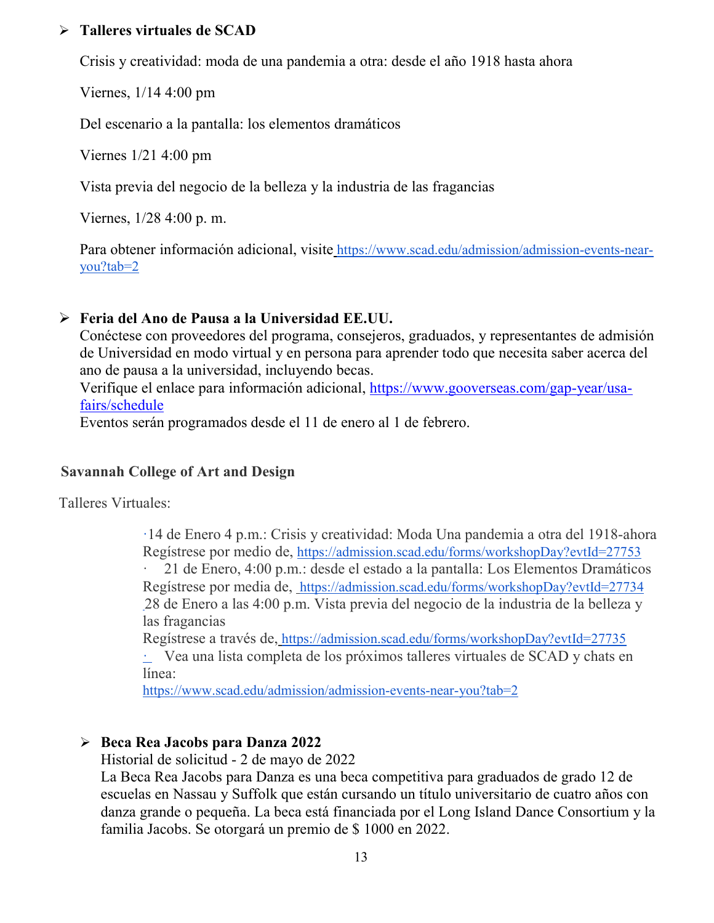#### **Talleres virtuales de SCAD**

Crisis y creatividad: moda de una pandemia a otra: desde el año 1918 hasta ahora

Viernes, 1/14 4:00 pm

Del escenario a la pantalla: los elementos dramáticos

Viernes 1/21 4:00 pm

Vista previa del negocio de la belleza y la industria de las fragancias

Viernes, 1/28 4:00 p. m.

Para obtener información adicional, visite [https://www.scad.edu/admission/admission-events-near](https://www.scad.edu/admission/admission-events-near-you?tab=2)[you?tab=2](https://www.scad.edu/admission/admission-events-near-you?tab=2)

# **Feria del Ano de Pausa a la Universidad EE.UU.**

Conéctese con proveedores del programa, consejeros, graduados, y representantes de admisión de Universidad en modo virtual y en persona para aprender todo que necesita saber acerca del ano de pausa a la universidad, incluyendo becas.

Verifique el enlace para información adicional, [https://www.gooverseas.com/gap-year/usa](https://www.gooverseas.com/gap-year/usa-fairs/schedule)[fairs/schedule](https://www.gooverseas.com/gap-year/usa-fairs/schedule)

Eventos serán programados desde el 11 de enero al 1 de febrero.

#### **Savannah College of Art and Design**

Talleres Virtuales:

·14 de Enero 4 p.m.: Crisis y creatividad: Moda Una pandemia a otra del 1918-ahora Regístrese por medio de, <https://admission.scad.edu/forms/workshopDay?evtId=27753>

· 21 de Enero, 4:00 p.m.: desde el estado a la pantalla: Los Elementos Dramáticos Regístrese por media de, <https://admission.scad.edu/forms/workshopDay?evtId=27734> 28 de Enero a las 4:00 p.m. Vista previa del negocio de la industria de la belleza y las fragancias

Regístrese a través de, <https://admission.scad.edu/forms/workshopDay?evtId=27735> · Vea una lista completa de los próximos talleres virtuales de SCAD y chats en línea:

<https://www.scad.edu/admission/admission-events-near-you?tab=2>

# **Beca Rea Jacobs para Danza 2022**

Historial de solicitud - 2 de mayo de 2022

La Beca Rea Jacobs para Danza es una beca competitiva para graduados de grado 12 de escuelas en Nassau y Suffolk que están cursando un título universitario de cuatro años con danza grande o pequeña. La beca está financiada por el Long Island Dance Consortium y la familia Jacobs. Se otorgará un premio de \$ 1000 en 2022.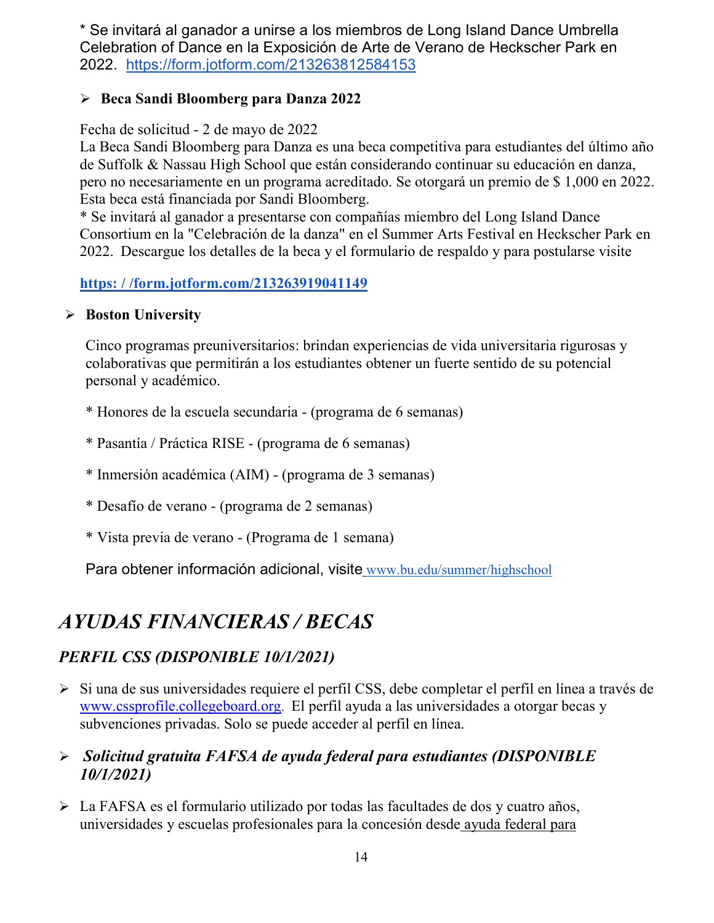\* Se invitará al ganador a unirse a los miembros de Long Island Dance Umbrella Celebration of Dance en la Exposición de Arte de Verano de Heckscher Park en 2022. <https://form.jotform.com/213263812584153>

# **Beca Sandi Bloomberg para Danza 2022**

#### Fecha de solicitud - 2 de mayo de 2022

La Beca Sandi Bloomberg para Danza es una beca competitiva para estudiantes del último año de Suffolk & Nassau High School que están considerando continuar su educación en danza, pero no necesariamente en un programa acreditado. Se otorgará un premio de \$ 1,000 en 2022. Esta beca está financiada por Sandi Bloomberg.

\* Se invitará al ganador a presentarse con compañías miembro del Long Island Dance Consortium en la "Celebración de la danza" en el Summer Arts Festival en Heckscher Park en 2022. Descargue los detalles de la beca y el formulario de respaldo y para postularse visite

# **[https: / /form.jotform.com/213263919041149](https://form.jotform.com/213263919041149)**

#### **Boston University**

Cinco programas preuniversitarios: brindan experiencias de vida universitaria rigurosas y colaborativas que permitirán a los estudiantes obtener un fuerte sentido de su potencial personal y académico.

- \* Honores de la escuela secundaria (programa de 6 semanas)
- \* Pasantía / Práctica RISE (programa de 6 semanas)
- \* Inmersión académica (AIM) (programa de 3 semanas)
- \* Desafío de verano (programa de 2 semanas)
- \* Vista previa de verano (Programa de 1 semana)

Para obtener información adicional, visite [www.bu.edu/summer/highschool](http://www.bu.edu/summer/highschool)

# *AYUDAS FINANCIERAS / BECAS*

# *PERFIL CSS (DISPONIBLE 10/1/2021)*

Si una d[e](http://www.collegeboard.org/) sus universidades requiere el perfil CSS, debe completar el perfil en línea a través de [www.cssprofile.collegeboard.org.](http://www.collegeboard.org/) El perfil ayuda a las universidades a otorgar becas y subvenciones privadas. Solo se puede acceder al perfil en línea.

# *Solicitud gratuita FAFSA de ayuda federal para estudiantes (DISPONIBLE 10/1/2021)*

 La FAFSA es el formulario utilizado por todas las facultades de dos y cuatro años, universidades y escuelas profesionales para la concesión desde [ayuda federal para](http://studentaid.ed.gov/students/publications/student_guide/2010-2011/english/typesofFSA_grants.htm)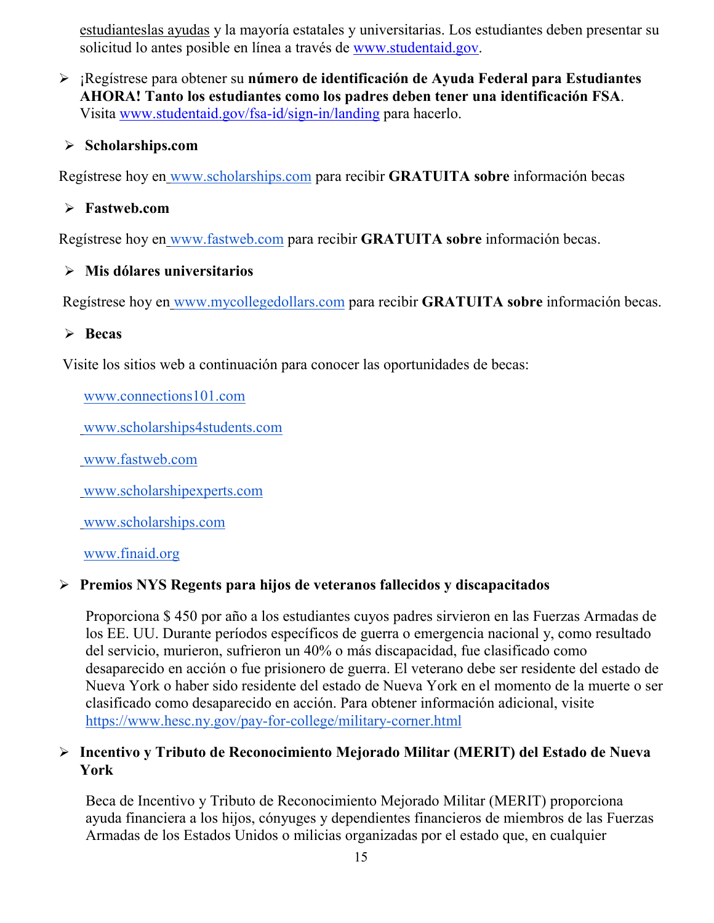[estudianteslas ayudas](http://studentaid.ed.gov/students/publications/student_guide/2010-2011/english/typesofFSA_grants.htm) y la mayoría estatales y universitarias. Los estudiantes deben presentar su solicitud lo antes posible en línea a través de [www.studentaid.gov.](http://www.studentaid.gov/)

 ¡Regístrese para obtener su **número de identificación de Ayuda Federal para Estudiantes AHORA! Tanto los estudiantes como los padres deben tener una identificación FSA**. Visita [www.studentaid.gov/fsa-id/sign-in/landing](http://www.studentaid.gov/fsa-id/sign-in/landing) para hacerlo.

#### **Scholarships.com**

Regístrese hoy en [www.scholarships.com](http://www.scholarships.com/) para recibir **GRATUITA sobre** información becas

#### **Fastweb.com**

Regístrese hoy en [www.fastweb.com](http://www.fastweb.com/) para recibir **GRATUITA sobre** información becas.

#### **Mis dólares universitarios**

Regístrese hoy en [www.mycollegedollars.com](http://www.mycollegedollars.com/) para recibir **GRATUITA sobre** información becas.

#### **Becas**

Visite los sitios web a continuación para conocer las oportunidades de becas:

[www.connections101.com](http://www.connections101.com/)

[www.scholarships4students.com](http://www.scholarships4students.com/)

[www.fastweb.com](http://www.fastweb.com/)

[www.scholarshipexperts.com](http://www.scholarshipexperts.com/)

[www.scholarships.com](http://www.scholarships.com/)

[www.finaid.org](http://www.finaid.org/)

#### **Premios NYS Regents para hijos de veteranos fallecidos y discapacitados**

Proporciona \$ 450 por año a los estudiantes cuyos padres sirvieron en las Fuerzas Armadas de los EE. UU. Durante períodos específicos de guerra o emergencia nacional y, como resultado del servicio, murieron, sufrieron un 40% o más discapacidad, fue clasificado como desaparecido en acción o fue prisionero de guerra. El veterano debe ser residente del estado de Nueva York o haber sido residente del estado de Nueva York en el momento de la muerte o ser clasificado como desaparecido en acción. Para obtener información adicional, visit[e](https://www.hesc.ny.gov/pay-for-college/military-corner.html) <https://www.hesc.ny.gov/pay-for-college/military-corner.html>

#### **Incentivo y Tributo de Reconocimiento Mejorado Militar (MERIT) del Estado de Nueva York**

Beca de Incentivo y Tributo de Reconocimiento Mejorado Militar (MERIT) proporciona ayuda financiera a los hijos, cónyuges y dependientes financieros de miembros de las Fuerzas Armadas de los Estados Unidos o milicias organizadas por el estado que, en cualquier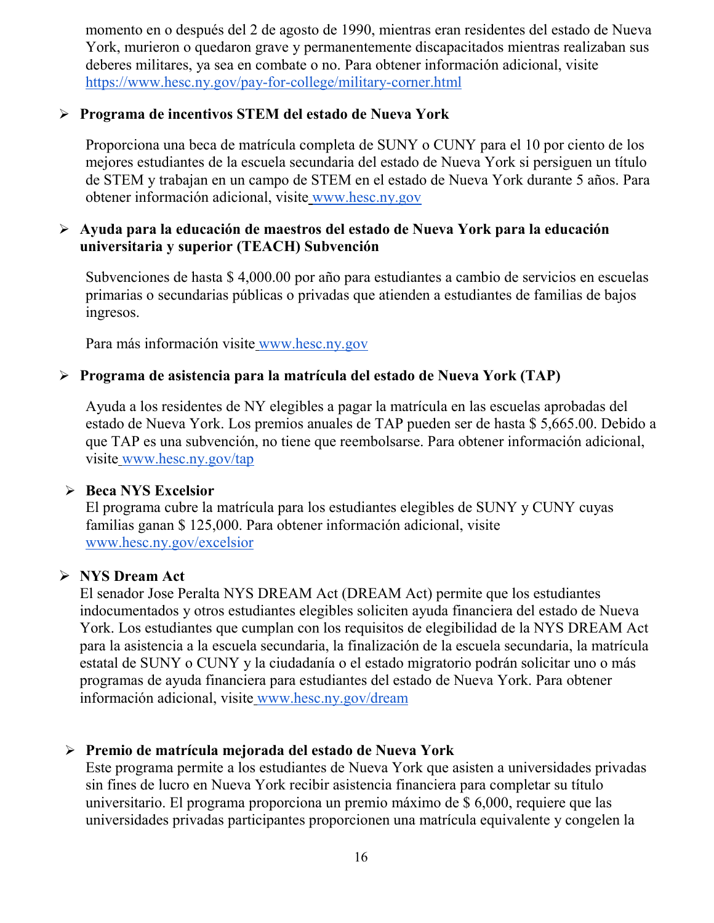momento en o después del 2 de agosto de 1990, mientras eran residentes del estado de Nueva York, murieron o quedaron grave y permanentemente discapacitados mientras realizaban sus deberes militares, ya sea en combate o no. Para obtener información adicional, visit[e](https://www.hesc.ny.gov/pay-for-college/military-corner.html) <https://www.hesc.ny.gov/pay-for-college/military-corner.html>

#### **Programa de incentivos STEM del estado de Nueva York**

Proporciona una beca de matrícula completa de SUNY o CUNY para el 10 por ciento de los mejores estudiantes de la escuela secundaria del estado de Nueva York si persiguen un título de STEM y trabajan en un campo de STEM en el estado de Nueva York durante 5 años. Para obtener información adicional, visite [www.hesc.ny.gov](http://www.hesc.ny.gov/)

#### **Ayuda para la educación de maestros del estado de Nueva York para la educación universitaria y superior (TEACH) Subvención**

Subvenciones de hasta \$ 4,000.00 por año para estudiantes a cambio de servicios en escuelas primarias o secundarias públicas o privadas que atienden a estudiantes de familias de bajos ingresos.

Para más información visite [www.hesc.ny.gov](http://www.hesc.ny.gov/) 

#### **Programa de asistencia para la matrícula del estado de Nueva York (TAP)**

Ayuda a los residentes de NY elegibles a pagar la matrícula en las escuelas aprobadas del estado de Nueva York. Los premios anuales de TAP pueden ser de hasta \$ 5,665.00. Debido a que TAP es una subvención, no tiene que reembolsarse. Para obtener información adicional, visite [www.hesc.ny.gov/tap](http://www.hesc.ny.gov/tap)

#### **Beca NYS Excelsior**

El programa cubre la matrícula para los estudiantes elegibles de SUNY y CUNY cuyas familias ganan \$ 125,000. Para obtener información adicional, visit[e](http://www.hesc.ny.gov/) [www.hesc.ny.gov/](http://www.hesc.ny.gov/)excelsior

#### **NYS Dream Act**

El senador Jose Peralta NYS DREAM Act (DREAM Act) permite que los estudiantes indocumentados y otros estudiantes elegibles soliciten ayuda financiera del estado de Nueva York. Los estudiantes que cumplan con los requisitos de elegibilidad de la NYS DREAM Act para la asistencia a la escuela secundaria, la finalización de la escuela secundaria, la matrícula estatal de SUNY o CUNY y la ciudadanía o el estado migratorio podrán solicitar uno o más programas de ayuda financiera para estudiantes del estado de Nueva York. Para obtener información adicional, visite [www.hesc.ny.gov/dream](http://www.hesc.ny.gov/dream)

#### **Premio de matrícula mejorada del estado de Nueva York**

Este programa permite a los estudiantes de Nueva York que asisten a universidades privadas sin fines de lucro en Nueva York recibir asistencia financiera para completar su título universitario. El programa proporciona un premio máximo de \$ 6,000, requiere que las universidades privadas participantes proporcionen una matrícula equivalente y congelen la